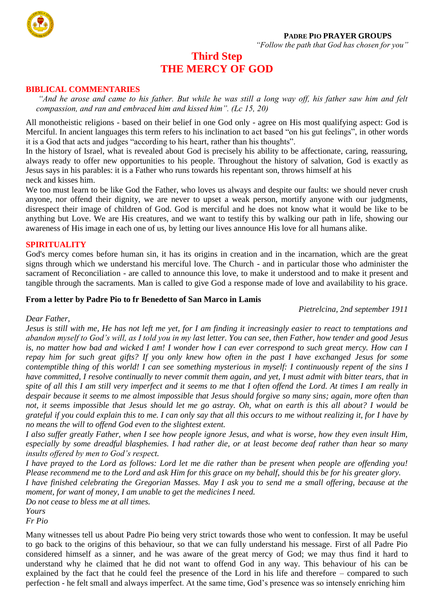

# **Third Step THE MERCY OF GOD**

#### **BIBLICAL COMMENTARIES**

*"And he arose and came to his father. But while he was still a long way off, his father saw him and felt compassion, and ran and embraced him and kissed him". (Lc 15, 20)* 

All monotheistic religions - based on their belief in one God only - agree on His most qualifying aspect: God is Merciful. In ancient languages this term refers to his inclination to act based "on his gut feelings", in other words it is a God that acts and judges "according to his heart, rather than his thoughts".

In the history of Israel, what is revealed about God is precisely his ability to be affectionate, caring, reassuring, always ready to offer new opportunities to his people. Throughout the history of salvation, God is exactly as Jesus says in his parables: it is a Father who runs towards his repentant son, throws himself at his neck and kisses him.

We too must learn to be like God the Father, who loves us always and despite our faults: we should never crush anyone, nor offend their dignity, we are never to upset a weak person, mortify anyone with our judgments, disrespect their image of children of God. God is merciful and he does not know what it would be like to be anything but Love. We are His creatures, and we want to testify this by walking our path in life, showing our awareness of His image in each one of us, by letting our lives announce His love for all humans alike.

#### **SPIRITUALITY**

God's mercy comes before human sin, it has its origins in creation and in the incarnation, which are the great signs through which we understand his merciful love. The Church - and in particular those who administer the sacrament of Reconciliation - are called to announce this love, to make it understood and to make it present and tangible through the sacraments. Man is called to give God a response made of love and availability to his grace.

#### **From a letter by Padre Pio to fr Benedetto of San Marco in Lamis**

*Pietrelcina, 2nd september 1911* 

#### *Dear Father,*

*Jesus is still with me, He has not left me yet, for I am finding it increasingly easier to react to temptations and abandon myself to God's will, as I told you in my last letter. You can see, then Father, how tender and good Jesus is, no matter how bad and wicked I am! I wonder how I can ever correspond to such great mercy. How can I repay him for such great gifts? If you only knew how often in the past I have exchanged Jesus for some contemptible thing of this world! I can see something mysterious in myself: I continuously repent of the sins I have committed, I resolve continually to never commit them again, and yet, I must admit with bitter tears, that in spite of all this I am still very imperfect and it seems to me that I often offend the Lord. At times I am really in despair because it seems to me almost impossible that Jesus should forgive so many sins; again, more often than not, it seems impossible that Jesus should let me go astray. Oh, what on earth is this all about? I would be grateful if you could explain this to me. I can only say that all this occurs to me without realizing it, for I have by no means the will to offend God even to the slightest extent.* 

*I also suffer greatly Father, when I see how people ignore Jesus, and what is worse, how they even insult Him, especially by some dreadful blasphemies. I had rather die, or at least become deaf rather than hear so many insults offered by men to God's respect.* 

*I have prayed to the Lord as follows: Lord let me die rather than be present when people are offending you! Please recommend me to the Lord and ask Him for this grace on my behalf, should this be for his greater glory. I have finished celebrating the Gregorian Masses. May I ask you to send me a small offering, because at the* 

*moment, for want of money, I am unable to get the medicines I need.* 

*Do not cease to bless me at all times.*

*Yours* 

*Fr Pio* 

Many witnesses tell us about Padre Pio being very strict towards those who went to confession. It may be useful to go back to the origins of this behaviour, so that we can fully understand his message. First of all Padre Pio considered himself as a sinner, and he was aware of the great mercy of God; we may thus find it hard to understand why he claimed that he did not want to offend God in any way. This behaviour of his can be explained by the fact that he could feel the presence of the Lord in his life and therefore – compared to such perfection - he felt small and always imperfect. At the same time, God's presence was so intensely enriching him